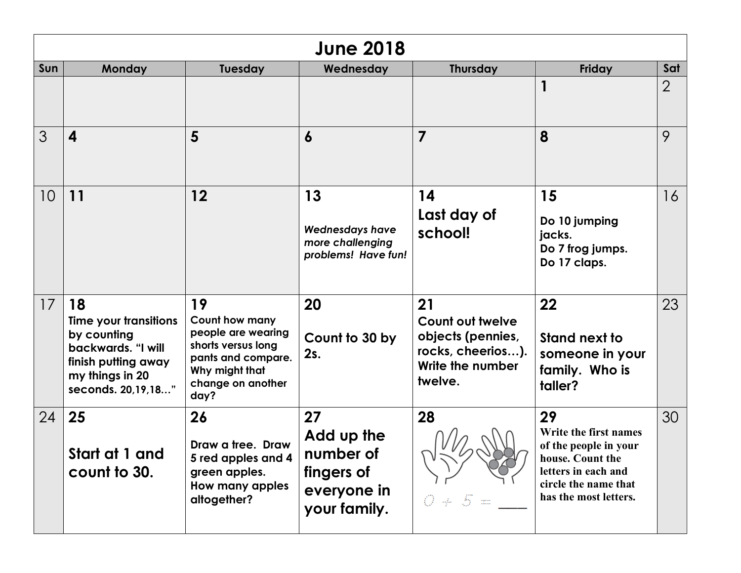| <b>June 2018</b> |                                                                                                                                  |                                                                                                                                       |                                                                            |                                                                                                 |                                                                                                                                                  |                |
|------------------|----------------------------------------------------------------------------------------------------------------------------------|---------------------------------------------------------------------------------------------------------------------------------------|----------------------------------------------------------------------------|-------------------------------------------------------------------------------------------------|--------------------------------------------------------------------------------------------------------------------------------------------------|----------------|
| Sun              | Monday                                                                                                                           | <b>Tuesday</b>                                                                                                                        | Wednesday                                                                  | <b>Thursday</b>                                                                                 | Friday                                                                                                                                           | Sat            |
|                  |                                                                                                                                  |                                                                                                                                       |                                                                            |                                                                                                 |                                                                                                                                                  | $\overline{2}$ |
| 3                | $\overline{\mathbf{4}}$                                                                                                          | 5                                                                                                                                     | 6                                                                          | $\overline{7}$                                                                                  | 8                                                                                                                                                | 9              |
| 10               | 11                                                                                                                               | 12                                                                                                                                    | 13<br><b>Wednesdays have</b><br>more challenging<br>problems! Have fun!    | 14<br>Last day of<br>school!                                                                    | 15<br>Do 10 jumping<br>jacks.<br>Do 7 frog jumps.<br>Do 17 claps.                                                                                | 16             |
| 17               | 18<br>Time your transitions<br>by counting<br>backwards. "I will<br>finish putting away<br>my things in 20<br>seconds. 20,19,18" | 19<br>Count how many<br>people are wearing<br>shorts versus long<br>pants and compare.<br>Why might that<br>change on another<br>day? | 20<br>Count to 30 by<br>2s.                                                | 21<br>Count out twelve<br>objects (pennies,<br>rocks, cheerios).<br>Write the number<br>twelve. | 22<br>Stand next to<br>someone in your<br>family. Who is<br>taller?                                                                              | 23             |
| 24               | 25<br>Start at 1 and<br>count to 30.                                                                                             | 26<br>Draw a tree. Draw<br>5 red apples and 4<br>green apples.<br>How many apples<br>altogether?                                      | 27<br>Add up the<br>number of<br>fingers of<br>everyone in<br>your family. | 28<br>v<br>$S =$<br>€.<br>- He                                                                  | 29<br>Write the first names<br>of the people in your<br>house. Count the<br>letters in each and<br>circle the name that<br>has the most letters. | 30             |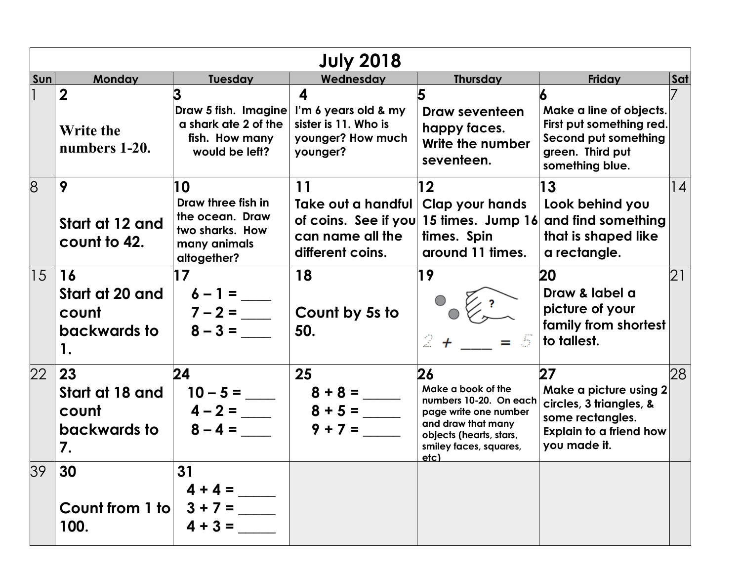| <b>July 2018</b> |                                                      |                                                                                               |                                                                                                            |                                                                                                                                                                |                                                                                                                               |     |  |
|------------------|------------------------------------------------------|-----------------------------------------------------------------------------------------------|------------------------------------------------------------------------------------------------------------|----------------------------------------------------------------------------------------------------------------------------------------------------------------|-------------------------------------------------------------------------------------------------------------------------------|-----|--|
| Sun              | Monday                                               | Tuesday                                                                                       | Wednesday                                                                                                  | <b>Thursday</b>                                                                                                                                                | Friday                                                                                                                        | Sat |  |
|                  | $\mathbf 2$<br>Write the<br>numbers 1-20.            | a shark ate 2 of the<br>fish. How many<br>would be left?                                      | 4<br>Draw 5 fish. Imagine   I'm 6 years old & my<br>sister is 11. Who is<br>younger? How much<br>younger?  | Draw seventeen<br>happy faces.<br>Write the number<br>seventeen.                                                                                               | Make a line of objects.<br>First put something red.<br>Second put something<br>green. Third put<br>something blue.            |     |  |
| 8                | 9<br>Start at 12 and<br>count to 42.                 | 10<br>Draw three fish in<br>the ocean. Draw<br>two sharks. How<br>many animals<br>altogether? | 11<br>Take out a handful<br>of coins. See if you 15 times. Jump 16<br>can name all the<br>different coins. | $12 \overline{ }$<br><b>Clap your hands</b><br>times. Spin<br>around 11 times.                                                                                 | 13<br>Look behind you<br>and find something<br>that is shaped like<br>a rectangle.                                            | 4   |  |
| $ 15\rangle$     | 16<br>Start at 20 and<br>count<br>backwards to<br>1. | 17<br>$6 - 1 =$<br>$7 - 2 =$<br>$8 - 3 =$                                                     | 18<br>Count by 5s to<br>50.                                                                                | 19<br>$2 +$<br>$\langle \overline{\mathcal{S}} \rangle$                                                                                                        | 20<br>Draw & label a<br>picture of your<br>family from shortest<br>to tallest.                                                | 21  |  |
| 22               | 23<br>Start at 18 and<br>count<br>backwards to<br>7. | 24<br>$10 - 5 =$<br>$4 - 2 =$<br>$8 - 4 =$                                                    | 25<br>$8 + 8 =$<br>$8 + 5 =$<br>$9 + 7 =$                                                                  | 26<br>Make a book of the<br>numbers 10-20. On each<br>page write one number<br>and draw that many<br>objects (hearts, stars,<br>smiley faces, squares,<br>etc. | 27<br>Make a picture using 2<br>circles, 3 triangles, &<br>some rectangles.<br><b>Explain to a friend how</b><br>you made it. | 28  |  |
| 39               | 30<br>Count from 1 to<br>100.                        | 31<br>$4 + 4 =$<br>$3 + 7 =$<br>$4 + 3 =$                                                     |                                                                                                            |                                                                                                                                                                |                                                                                                                               |     |  |